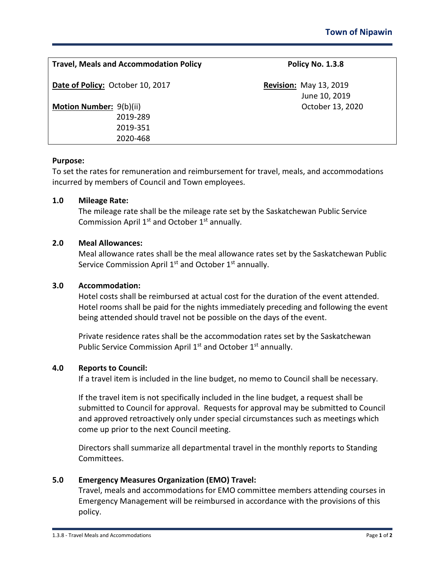| <b>Travel, Meals and Accommodation Policy</b> | Policy No. 1.3.8                               |
|-----------------------------------------------|------------------------------------------------|
| Date of Policy: October 10, 2017              | <b>Revision: May 13, 2019</b><br>June 10, 2019 |
| <b>Motion Number: 9(b)(ii)</b>                | October 13, 2020                               |
| 2019-289                                      |                                                |
| 2019-351                                      |                                                |
| 2020-468                                      |                                                |

# **Purpose:**

To set the rates for remuneration and reimbursement for travel, meals, and accommodations incurred by members of Council and Town employees.

## **1.0 Mileage Rate:**

The mileage rate shall be the mileage rate set by the Saskatchewan Public Service Commission April  $1<sup>st</sup>$  and October  $1<sup>st</sup>$  annually.

## **2.0 Meal Allowances:**

Meal allowance rates shall be the meal allowance rates set by the Saskatchewan Public Service Commission April  $1<sup>st</sup>$  and October  $1<sup>st</sup>$  annually.

#### **3.0 Accommodation:**

Hotel costs shall be reimbursed at actual cost for the duration of the event attended. Hotel rooms shall be paid for the nights immediately preceding and following the event being attended should travel not be possible on the days of the event.

Private residence rates shall be the accommodation rates set by the Saskatchewan Public Service Commission April 1<sup>st</sup> and October 1<sup>st</sup> annually.

## **4.0 Reports to Council:**

If a travel item is included in the line budget, no memo to Council shall be necessary.

If the travel item is not specifically included in the line budget, a request shall be submitted to Council for approval. Requests for approval may be submitted to Council and approved retroactively only under special circumstances such as meetings which come up prior to the next Council meeting.

Directors shall summarize all departmental travel in the monthly reports to Standing Committees.

# **5.0 Emergency Measures Organization (EMO) Travel:**

Travel, meals and accommodations for EMO committee members attending courses in Emergency Management will be reimbursed in accordance with the provisions of this policy.